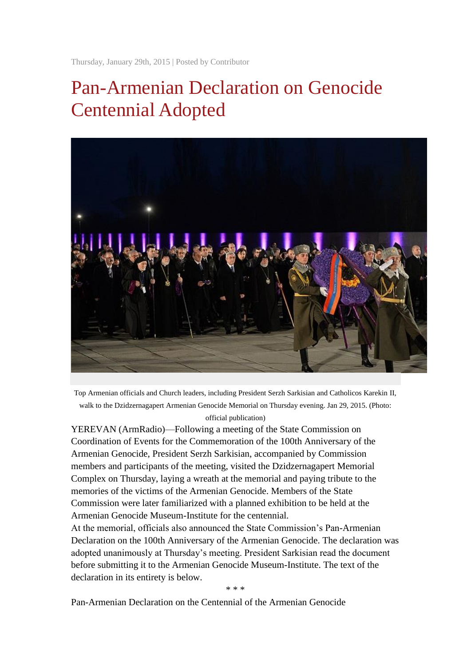Thursday, January 29th, 2015 | Posted by [Contributor](http://asbarez.com/author/contributor/)

# Pan-Armenian Declaration on Genocide Centennial Adopted



Top Armenian officials and Church leaders, including President Serzh Sarkisian and Catholicos Karekin II, walk to the Dzidzernagapert Armenian Genocide Memorial on Thursday evening. Jan 29, 2015. (Photo: official publication)

YEREVAN (ArmRadio)—Following a meeting of the State Commission on Coordination of Events for the Commemoration of the 100th Anniversary of the Armenian Genocide, President Serzh Sarkisian, accompanied by Commission members and participants of the meeting, visited the Dzidzernagapert Memorial Complex on Thursday, laying a wreath at the memorial and paying tribute to the memories of the victims of the Armenian Genocide. Members of the State Commission were later familiarized with a planned exhibition to be held at the Armenian Genocide Museum-Institute for the centennial.

At the memorial, officials also announced the State Commission's Pan-Armenian Declaration on the 100th Anniversary of the Armenian Genocide. The declaration was adopted unanimously at Thursday's meeting. President Sarkisian read the document before submitting it to the Armenian Genocide Museum-Institute. The text of the declaration in its entirety is below.

\* \* \*

Pan-Armenian Declaration on the Centennial of the Armenian Genocide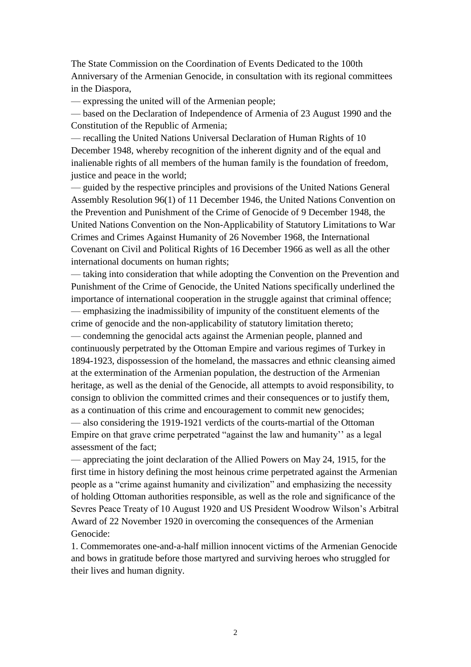The State Commission on the Coordination of Events Dedicated to the 100th Anniversary of the Armenian Genocide, in consultation with its regional committees in the Diaspora,

— expressing the united will of the Armenian people;

— based on the Declaration of Independence of Armenia of 23 August 1990 and the Constitution of the Republic of Armenia;

— recalling the United Nations Universal Declaration of Human Rights of 10 December 1948, whereby recognition of the inherent dignity and of the equal and inalienable rights of all members of the human family is the foundation of freedom, justice and peace in the world:

— guided by the respective principles and provisions of the United Nations General Assembly Resolution 96(1) of 11 December 1946, the United Nations Convention on the Prevention and Punishment of the Crime of Genocide of 9 December 1948, the United Nations Convention on the Non-Applicability of Statutory Limitations to War Crimes and Crimes Against Humanity of 26 November 1968, the International Covenant on Civil and Political Rights of 16 December 1966 as well as all the other international documents on human rights;

— taking into consideration that while adopting the Convention on the Prevention and Punishment of the Crime of Genocide, the United Nations specifically underlined the importance of international cooperation in the struggle against that criminal offence; — emphasizing the inadmissibility of impunity of the constituent elements of the crime of genocide and the non-applicability of statutory limitation thereto;

— condemning the genocidal acts against the Armenian people, planned and continuously perpetrated by the Ottoman Empire and various regimes of Turkey in 1894-1923, dispossession of the homeland, the massacres and ethnic cleansing aimed at the extermination of the Armenian population, the destruction of the Armenian heritage, as well as the denial of the Genocide, all attempts to avoid responsibility, to consign to oblivion the committed crimes and their consequences or to justify them, as a continuation of this crime and encouragement to commit new genocides; — also considering the 1919-1921 verdicts of the courts-martial of the Ottoman Empire on that grave crime perpetrated "against the law and humanity'' as a legal assessment of the fact;

— appreciating the joint declaration of the Allied Powers on May 24, 1915, for the first time in history defining the most heinous crime perpetrated against the Armenian people as a "crime against humanity and civilization" and emphasizing the necessity of holding Ottoman authorities responsible, as well as the role and significance of the Sevres Peace Treaty of 10 August 1920 and US President Woodrow Wilson's Arbitral Award of 22 November 1920 in overcoming the consequences of the Armenian Genocide:

1. Commemorates one-and-a-half million innocent victims of the Armenian Genocide and bows in gratitude before those martyred and surviving heroes who struggled for their lives and human dignity.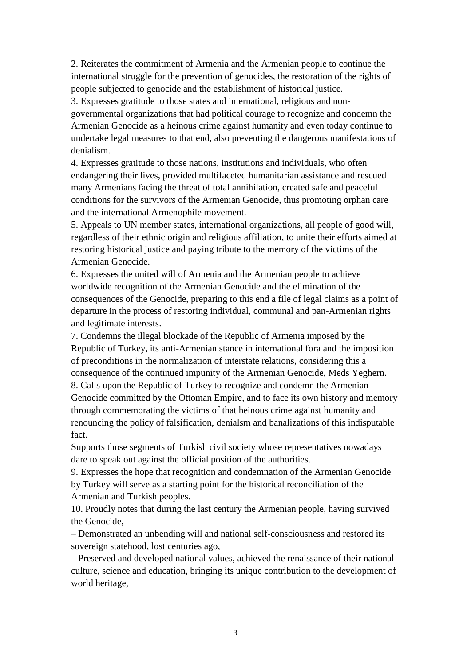2. Reiterates the commitment of Armenia and the Armenian people to continue the international struggle for the prevention of genocides, the restoration of the rights of people subjected to genocide and the establishment of historical justice.

3. Expresses gratitude to those states and international, religious and nongovernmental organizations that had political courage to recognize and condemn the Armenian Genocide as a heinous crime against humanity and even today continue to undertake legal measures to that end, also preventing the dangerous manifestations of denialism.

4. Expresses gratitude to those nations, institutions and individuals, who often endangering their lives, provided multifaceted humanitarian assistance and rescued many Armenians facing the threat of total annihilation, created safe and peaceful conditions for the survivors of the Armenian Genocide, thus promoting orphan care and the international Armenophile movement.

5. Appeals to UN member states, international organizations, all people of good will, regardless of their ethnic origin and religious affiliation, to unite their efforts aimed at restoring historical justice and paying tribute to the memory of the victims of the Armenian Genocide.

6. Expresses the united will of Armenia and the Armenian people to achieve worldwide recognition of the Armenian Genocide and the elimination of the consequences of the Genocide, preparing to this end a file of legal claims as a point of departure in the process of restoring individual, communal and pan-Armenian rights and legitimate interests.

7. Condemns the illegal blockade of the Republic of Armenia imposed by the Republic of Turkey, its anti-Armenian stance in international fora and the imposition of preconditions in the normalization of interstate relations, considering this a consequence of the continued impunity of the Armenian Genocide, Meds Yeghern. 8. Calls upon the Republic of Turkey to recognize and condemn the Armenian Genocide committed by the Ottoman Empire, and to face its own history and memory through commemorating the victims of that heinous crime against humanity and renouncing the policy of falsification, denialsm and banalizations of this indisputable fact.

Supports those segments of Turkish civil society whose representatives nowadays dare to speak out against the official position of the authorities.

9. Expresses the hope that recognition and condemnation of the Armenian Genocide by Turkey will serve as a starting point for the historical reconciliation of the Armenian and Turkish peoples.

10. Proudly notes that during the last century the Armenian people, having survived the Genocide,

– Demonstrated an unbending will and national self-consciousness and restored its sovereign statehood, lost centuries ago,

– Preserved and developed national values, achieved the renaissance of their national culture, science and education, bringing its unique contribution to the development of world heritage,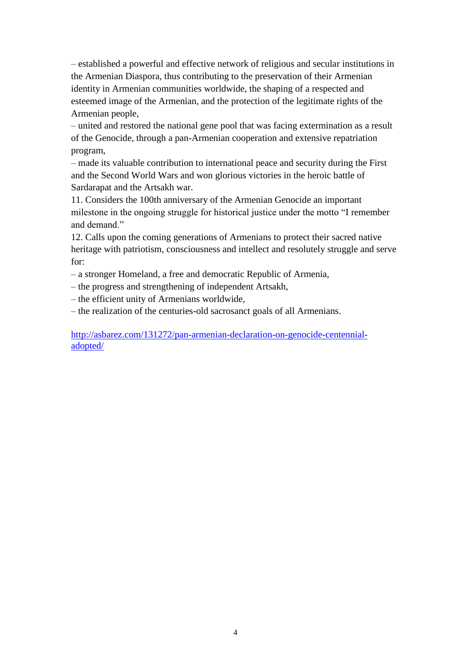– established a powerful and effective network of religious and secular institutions in the Armenian Diaspora, thus contributing to the preservation of their Armenian identity in Armenian communities worldwide, the shaping of a respected and esteemed image of the Armenian, and the protection of the legitimate rights of the Armenian people,

– united and restored the national gene pool that was facing extermination as a result of the Genocide, through a pan-Armenian cooperation and extensive repatriation program,

– made its valuable contribution to international peace and security during the First and the Second World Wars and won glorious victories in the heroic battle of Sardarapat and the Artsakh war.

11. Considers the 100th anniversary of the Armenian Genocide an important milestone in the ongoing struggle for historical justice under the motto "I remember and demand."

12. Calls upon the coming generations of Armenians to protect their sacred native heritage with patriotism, consciousness and intellect and resolutely struggle and serve for:

– a stronger Homeland, a free and democratic Republic of Armenia,

– the progress and strengthening of independent Artsakh,

– the efficient unity of Armenians worldwide,

– the realization of the centuries-old sacrosanct goals of all Armenians.

[http://asbarez.com/131272/pan-armenian-declaration-on-genocide-centennial](http://asbarez.com/131272/pan-armenian-declaration-on-genocide-centennial-adopted/)[adopted/](http://asbarez.com/131272/pan-armenian-declaration-on-genocide-centennial-adopted/)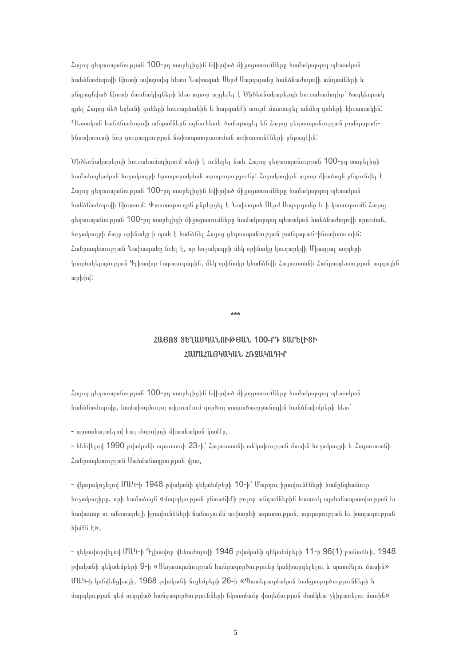Հայոց ցեղասպանության 100-րդ տարելիցին նվիրված միջոցառումները համակարգող պետական հանձնաժողովի նիստի ավարտից հետո Նախագահ Սերժ Սարգսյանը հանձնաժողովի անդամների և ընդլայնված նիստի մասնակիցների հետ այսօր այցելել է Ծիծեռնակաբերդի հուշահամալիր՝ ծաղկեպսակ դրել Հայոց մեծ եղեռնի զոհերի հուշարձանին և հարգանքի տուրք մատուցել անմեղ զոհերի հիշատակին: Պետական հանձնաժողովի անդամներն այնուհետև ծանոթացել են Հայոց ցեղասպանության թանգարանինստիտուտի նոր ցուցադրության նախապատրաստման աշխատանքների ընթացքին:

Ծիծեռնակաբերդի հուշահամալիրում տեղի է ունեցել նաև Հայոց ցեղասպանության 100-րդ տարելիցի համահայկական հռչակագրի հրապարակման արարողությունը: Հռչակագիրն այսօր միաձայն ընդունվել է Հայոց ցեղասպանության 100-րդ տարելիցին նվիրված միջոցառումները համակարգող պետական հանձնաժողովի նիստում: Փաստաթուղթն ընթերցել է Նախագահ Սերժ Սարգսյանը և ի կատարումն Հայոց ցեղասպանության 100-րդ տարելիցի միջոցառումները համակարգող պետական հանձնաժողովի որոշման, հռչակագրի մայր օրինակը ի պահ է հանձնել Հայոց ցեղասպանության թանգարան-ինստիտուտին: Հանրապետության Նախագահը նշել է, որ հռչակագրի մեկ օրինակը կուղարկվի Միացյալ ազգերի կազմակերպության Գլխավոր քարտուղարին, մեկ օրինակը կհանձնվի Հայաստանի Հանրապետության ազգային արխիվ:

#### \*\*\*

## ՀԱՅՈՑ ՑԵՂԱՍՊԱՆՈՒԹՅԱՆ 100-ՐԴ ՏԱՐԵԼԻՑԻ ՀԱՄԱՀԱՅԿԱԿԱՆ ՀՌՉԱԿԱԳԻՐ

Հայոց ցեղասպանության 100-րդ տարելիցին նվիրված միջոցառումները համակարգող պետական հանձնաժողովը, համախորհուրդ սփյուռքում գործող տարածաշրջանային հանձնախմբերի հետ՝

- արտահայտելով հայ ժողովրդի միասնական կամքը,

- հենվելով 1990 թվականի օգոստոսի 23-ի՝ Հայաստանի անկախության մասին հռչակագրի և Հայաստանի Հանրապետության Սահմանադրության վրա,

- վկայակոչելով ՄԱԿ-ի 1948 թվականի դեկտեմբերի 10-ի՝ Մարդու իրավունքների համընդհանուր հռչակագիրը, որի համաձայն «մարդկության ընտանիքի բոլոր անդամներին հատուկ արժանապատվության եւ հավասար ու անօտարելի իրավունքների ճանաչումն աշխարհի ազատության, արդարության եւ խաղաղության հիմքն է»,

- ղեկավարվելով ՄԱԿ-ի Գլխավոր վեհաժողովի 1946 թվականի դեկտեմբերի 11-ի 96(1) բանաձևի, 1948 թվականի դեկտեմբերի 9-ի «Ցեղասպանության հանցագործությունը կանխարգելելու և պատժելու մասին» ՄԱԿ-ի կոնվենցիայի, 1968 թվականի նոյեմբերի 26-ի «Պատերազմական հանցագործությունների և մարդկության դեմ ուղղված հանցագործությունների նկատմամբ վաղեմության ժամկետ չկիրառելու մասին»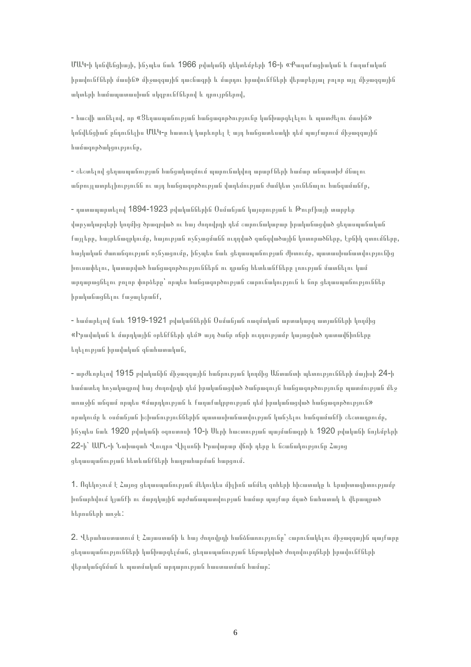ՄԱԿ-ի կոնվենցիայի, ինչպես նաև 1966 թվականի դեկտեմբերի 16-ի «Քաղաքացիական և քաղաքական իրավունքների մասին» միջազգային դաշնագրի և մարդու իրավունքների վերաբերյալ բոլոր այլ միջազգային ակտերի համապատասխան սկզբունքներով և դրույթներով,

- հաշվի առնելով, որ «Ցեղասպանության հանցագործությունը կանխարգելելու և պատժելու մասին» կոնվենցիան ընդունելիս ՄԱԿ-ը հատուկ կարևորել է այդ հանցատեսակի դեմ պայքարում միջազգային համագործակցությունը,

- շեշտելով ցեղասպանության հանցակազմում պարունակվող արարքների համար անպատիժ մնալու անթույլատրելիությունն ու այդ հանցագործության վաղեմության ժամկետ չունենալու հանգամանքը,

- դատապարտելով 1894-1923 թվականներին Օսմանյան կայսրության և Թուրքիայի տարբեր վարչակարգերի կողմից ծրագրված ու հայ ժողովրդի դեմ շարունակաբար իրականացված ցեղասպանական քայլերը, հայրենազրկումը, հայության ոչնչացմանն ուղղված զանգվածային կոտորածները, էթնիկ զտումները, հայկական ժառանգության ոչնչացումը, ինչպես նաև ցեղասպանության ժխտումը, պատասխանատվությունից խուսափելու, կատարված հանցագործություններն ու դրանց հետևանքները լռության մատնելու կամ արդարացնելու բոլոր փորձերը՝ որպես հանցագործության շարունակություն և նոր ցեղասպանություններ իրականացնելու քաջալերանք,

- համարելով նաև 1919-1921 թվականներին Օսմանյան ռազմական արտակարգ ատյանների կողմից «Իրավական և մարդկային օրենքների դեմ» այդ ծանր ոճրի ուղղությամբ կայացված դատավճիռները եղելության իրավական գնահատական,

- արժևորելով 1915 թվականին միջազգային հանրության կողմից Անտանտի պետությունների մայիսի 24-ի համատեղ հռչակագրով հայ ժողովրդի դեմ իրականացված ծանրագույն հանցագործությունը պատմության մեջ առաջին անգամ որպես «մարդկության և քաղաքակրթության դեմ իրականացված հանցագործություն» որակումը և օսմանյան իշխանություններին պատասխանատվության կանչելու հանգամանքի շեշտադրումը, ինչպես նաև 1920 թվականի օգոստոսի 10-ի Սևրի հաշտության պայմանագրի և 1920 թվականի նոյեմբերի 22-ի` ԱՄՆ-ի Նախագահ Վուդրո Վիլսոնի Իրավարար վճռի դերը և նշանակությունը Հայոց ցեղասպանության հետևանքների հաղթահարման հարցում.

1. Ոգեկոչում է Հայոց ցեղասպանության մեկուկես միլիոն անմեղ զոհերի հիշատակը և երախտագիտությամբ խոնարհվում կյանքի ու մարդկային արժանապատվության համար պայքար մղած նահատակ և վերապրած հերոսների առջև:

2. Վերահաստատում է Հայաստանի և հայ ժողովրդի հանձնառությունը՝ շարունակելու միջազգային պայքարը ցեղասպանությունների կանխարգելման, ցեղասպանության ենթարկված ժողովուրդների իրավունքների վերականգնման և պատմական արդարության հաստատման համար: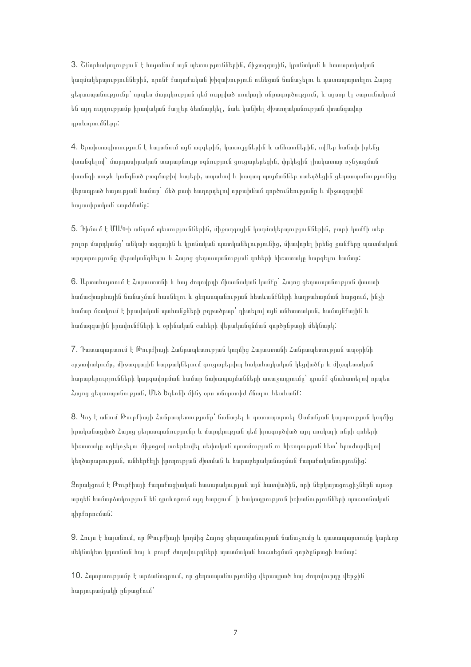3. Շնորհակալություն է հայտնում այն պետություններին, միջազգային, կրոնական և հասարակական կազմակերպություններին, որոնք քաղաքական խիզախություն ունեցան ճանաչելու և դատապարտելու Հայոց ցեղասպանությունը՝ որպես մարդկության դեմ ուղղված սոսկալի ոճրագործություն, և այսօր էլ շարունակում են այդ ուղղությամբ իրավական քայլեր ձեռնարկել, նաև կանխել ժխտողականության վտանգավոր դրսևորումները:

4. Երախտագիտություն է հայտնում այն ազգերին, կառույցներին և անհատներին, ովքեր հաճախ իրենց վտանգելով` մարդասիրական տարաբնույթ օգնություն ցուցաբերեցին, փրկեցին լիակատար ոչնչացման վտանգի առջև կանգնած բազմաթիվ հայերի, ապահով և խաղաղ պայմաններ ստեղծեցին ցեղասպանությունից վերապրած հայության համար` մեծ թափ հաղորդելով որբախնամ գործունեությանը և միջազգային հայասիրական շարժմանը:

5. Դիմում է ՄԱԿ-ի անդամ պետություններին, միջազգային կազմակերպություններին, բարի կամքի տեր բոլոր մարդկանց՝ անկախ ազգային և կրոնական պատկանելությունից, միավորել իրենց ջանքերը պատմական արդարությունը վերականգնելու և Հայոց ցեղասպանության զոհերի հիշատակը հարգելու համար:

6. Արտահայտում է Հայաստանի և հայ ժողովրդի միասնական կամքը` Հայոց ցեղասպանության փաստի համաշխարհային ճանաչման հասնելու և ցեղասպանության հետևանքների հաղթահարման հարցում, ինչի համար մշակում է իրավական պահանջների թղթածրար՝ դիտելով այն անհատական, համայնքային և համազգային իրավունքների և օրինական շահերի վերականգնման գործընթացի մեկնարկ:

7. Դատապարտում է Թուրքիայի Հանրապետության կողմից Հայաստանի Հանրապետության ապօրինի շրջափակումը, միջազգային հարթակներում ցուցաբերվող հակահայկական կեցվածքը և միջպետական հարաբերությունների կարգավորման համար նախապայմանների առաջադրումը՝ դրանք գնահատելով որպես Հայոց ցեղասպանության, Մեծ Եղեռնի մինչ օրս անպատիժ մնալու հետևանք:

8. Կոչ է անում Թուրքիայի Հանրապետությանը՝ ճանաչել և դատապարտել Օսմանյան կայսրության կողմից իրականացված Հայոց ցեղասպանությունը և մարդկության դեմ իրագործված այդ սոսկալի ոճրի զոհերի հիշատակը ոգեկոչելու միջոցով առերեսվել սեփական պատմության ու հիշողության հետ՝ հրաժարվելով կեղծարարության, անհերքելի իրողության ժխտման և հարաբերականացման քաղաքականությունից:

Զորակցում է Թուրքիայի քաղաքացիական հասարակության այն հատվածին, որի ներկայացուցիչներն այսօր արդեն համարձակություն են դրսևորում այդ հարցում` ի հակադրություն իշխանությունների պաշտոնական դիրքորոշման:

9. Հույս է հայտնում, որ Թուրքիայի կողմից Հայոց ցեղասպանության ճանաչումը և դատապարտումը կարևոր մեկնակետ կդառնան հայ և թուրք ժողովուրդների պատմական հաշտեցման գործընթացի համար:

10. Հպարտությամբ է արձանագրում, որ ցեղասպանությունից վերապրած հայ ժողովուրդը վերջին հարյուրամյակի ընթացքում՝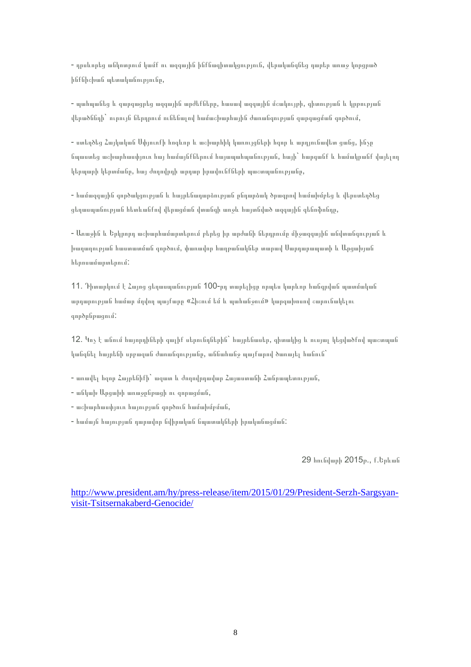- դրսևորեց անկոտրում կամք ու ազգային ինքնագիտակցություն, վերականգնեց դարեր առաջ կորցրած ինքնիշխան պետականությունը,

- պահպանեց և զարգացրեց ազգային արժեքները, հասավ ազգային մշակույթի, գիտության և կրթության վերածննդի` ուրույն ներդրում ունենալով համաշխարհային ժառանգության զարգացման գործում,

- ստեղծեց Հայկական Սփյուռքի հոգևոր և աշխարհիկ կառույցների հզոր և արդյունավետ ցանց, ինչը նպաստեց աշխարհասփյուռ հայ համայնքներում հայապահպանության, հայի` հարգանք և համակրանք վայելող կերպարի կերտմանը, հայ ժողովրդի արդար իրավունքների պաշտպանությանը,

- համազգային գործակցության և հայրենադարձության ընդարձակ ծրագրով համախմբեց և վերստեղծեց ցեղասպանության հետևանքով վերացման վտանգի առջև հայտնված ազգային գենոֆոնդը,

- Առաջին և Երկրորդ աշխարհամարտերում բերեց իր արժանի ներդրումը միջազգային անվտանգության և խաղաղության հաստատման գործում, փառավոր հաղթանակներ տարավ Սարդարապատի և Արցախյան հերոսամարտերում:

11. Դիտարկում է Հայոց ցեղասպանության 100-րդ տարելիցը որպես կարևոր հանգրվան պատմական արդարության համար մղվող պայքարը «Հիշում եմ և պահանջում» կարգախոսով շարունակելու գործընթացում:

12. Կոչ է անում հայորդիների գալիք սերունդներին` հայրենասեր, գիտակից և ուսյալ կեցվածքով պաշտպան կանգնել հայրենի սրբազան ժառանգությանը, աննահանջ պայքարով ծառայել հանուն`

- առավել հզոր Հայրենիքի` ազատ և ժողովրդավար Հայաստանի Հանրապետության,
- անկախ Արցախի առաջընթացի ու զորացման,
- աշխարհասփյուռ հայության գործուն համախմբման,
- համայն հայության դարավոր նվիրական նպատակների իրականացման:

29 հունվարի 2015թ., ք.Երևան

[http://www.president.am/hy/press-release/item/2015/01/29/President-Serzh-Sargsyan](http://www.president.am/hy/press-release/item/2015/01/29/President-Serzh-Sargsyan-visit-Tsitsernakaberd-Genocide/)[visit-Tsitsernakaberd-Genocide/](http://www.president.am/hy/press-release/item/2015/01/29/President-Serzh-Sargsyan-visit-Tsitsernakaberd-Genocide/)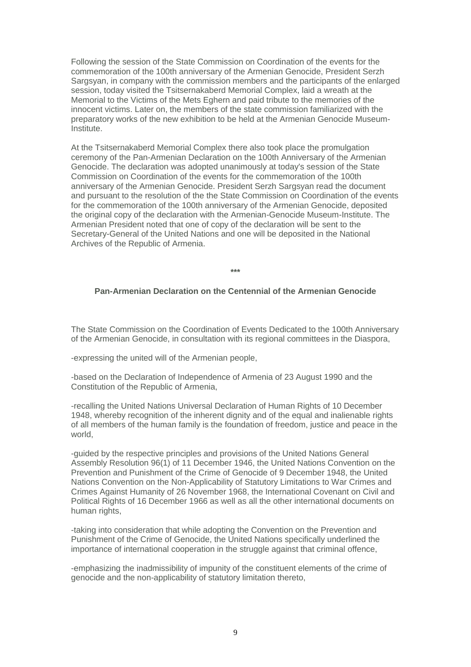Following the session of the State Commission on Coordination of the events for the commemoration of the 100th anniversary of the Armenian Genocide, President Serzh Sargsyan, in company with the commission members and the participants of the enlarged session, today visited the Tsitsernakaberd Memorial Complex, laid a wreath at the Memorial to the Victims of the Mets Eghern and paid tribute to the memories of the innocent victims. Later on, the members of the state commission familiarized with the preparatory works of the new exhibition to be held at the Armenian Genocide Museum-Institute.

At the Tsitsernakaberd Memorial Complex there also took place the promulgation ceremony of the Pan-Armenian Declaration on the 100th Anniversary of the Armenian Genocide. The declaration was adopted unanimously at today's session of the State Commission on Coordination of the events for the commemoration of the 100th anniversary of the Armenian Genocide. President Serzh Sargsyan read the document and pursuant to the resolution of the the State Commission on Coordination of the events for the commemoration of the 100th anniversary of the Armenian Genocide, deposited the original copy of the declaration with the Armenian-Genocide Museum-Institute. The Armenian President noted that one of copy of the declaration will be sent to the Secretary-General of the United Nations and one will be deposited in the National Archives of the Republic of Armenia.

**\*\*\***

### **Pan-Armenian Declaration on the Centennial of the Armenian Genocide**

The State Commission on the Coordination of Events Dedicated to the 100th Anniversary of the Armenian Genocide, in consultation with its regional committees in the Diaspora,

-expressing the united will of the Armenian people,

-based on the Declaration of Independence of Armenia of 23 August 1990 and the Constitution of the Republic of Armenia,

-recalling the United Nations Universal Declaration of Human Rights of 10 December 1948, whereby recognition of the inherent dignity and of the equal and inalienable rights of all members of the human family is the foundation of freedom, justice and peace in the world,

-guided by the respective principles and provisions of the United Nations General Assembly Resolution 96(1) of 11 December 1946, the United Nations Convention on the Prevention and Punishment of the Crime of Genocide of 9 December 1948, the United Nations Convention on the Non-Applicability of Statutory Limitations to War Crimes and Crimes Against Humanity of 26 November 1968, the International Covenant on Civil and Political Rights of 16 December 1966 as well as all the other international documents on human rights,

-taking into consideration that while adopting the Convention on the Prevention and Punishment of the Crime of Genocide, the United Nations specifically underlined the importance of international cooperation in the struggle against that criminal offence,

-emphasizing the inadmissibility of impunity of the constituent elements of the crime of genocide and the non-applicability of statutory limitation thereto,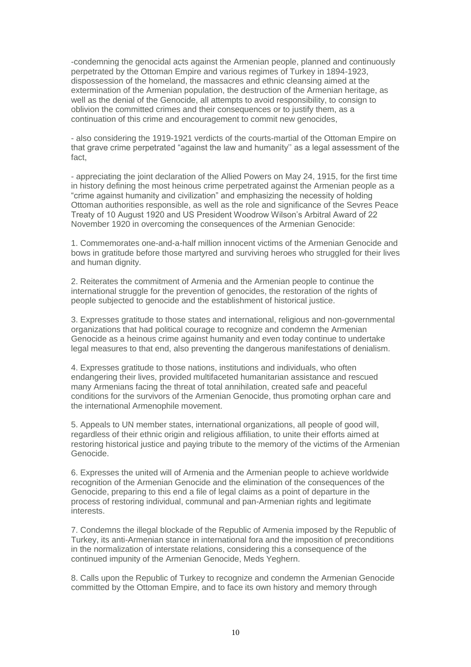-condemning the genocidal acts against the Armenian people, planned and continuously perpetrated by the Ottoman Empire and various regimes of Turkey in 1894-1923, dispossession of the homeland, the massacres and ethnic cleansing aimed at the extermination of the Armenian population, the destruction of the Armenian heritage, as well as the denial of the Genocide, all attempts to avoid responsibility, to consign to oblivion the committed crimes and their consequences or to justify them, as a continuation of this crime and encouragement to commit new genocides,

- also considering the 1919-1921 verdicts of the courts-martial of the Ottoman Empire on that grave crime perpetrated "against the law and humanity'' as a legal assessment of the fact,

- appreciating the joint declaration of the Allied Powers on May 24, 1915, for the first time in history defining the most heinous crime perpetrated against the Armenian people as a "crime against humanity and civilization" and emphasizing the necessity of holding Ottoman authorities responsible, as well as the role and significance of the Sevres Peace Treaty of 10 August 1920 and US President Woodrow Wilson's Arbitral Award of 22 November 1920 in overcoming the consequences of the Armenian Genocide:

1. Commemorates one-and-a-half million innocent victims of the Armenian Genocide and bows in gratitude before those martyred and surviving heroes who struggled for their lives and human dignity.

2. Reiterates the commitment of Armenia and the Armenian people to continue the international struggle for the prevention of genocides, the restoration of the rights of people subjected to genocide and the establishment of historical justice.

3. Expresses gratitude to those states and international, religious and non-governmental organizations that had political courage to recognize and condemn the Armenian Genocide as a heinous crime against humanity and even today continue to undertake legal measures to that end, also preventing the dangerous manifestations of denialism.

4. Expresses gratitude to those nations, institutions and individuals, who often endangering their lives, provided multifaceted humanitarian assistance and rescued many Armenians facing the threat of total annihilation, created safe and peaceful conditions for the survivors of the Armenian Genocide, thus promoting orphan care and the international Armenophile movement.

5. Appeals to UN member states, international organizations, all people of good will, regardless of their ethnic origin and religious affiliation, to unite their efforts aimed at restoring historical justice and paying tribute to the memory of the victims of the Armenian Genocide.

6. Expresses the united will of Armenia and the Armenian people to achieve worldwide recognition of the Armenian Genocide and the elimination of the consequences of the Genocide, preparing to this end a file of legal claims as a point of departure in the process of restoring individual, communal and pan-Armenian rights and legitimate interests.

7. Condemns the illegal blockade of the Republic of Armenia imposed by the Republic of Turkey, its anti-Armenian stance in international fora and the imposition of preconditions in the normalization of interstate relations, considering this a consequence of the continued impunity of the Armenian Genocide, Meds Yeghern.

8. Calls upon the Republic of Turkey to recognize and condemn the Armenian Genocide committed by the Ottoman Empire, and to face its own history and memory through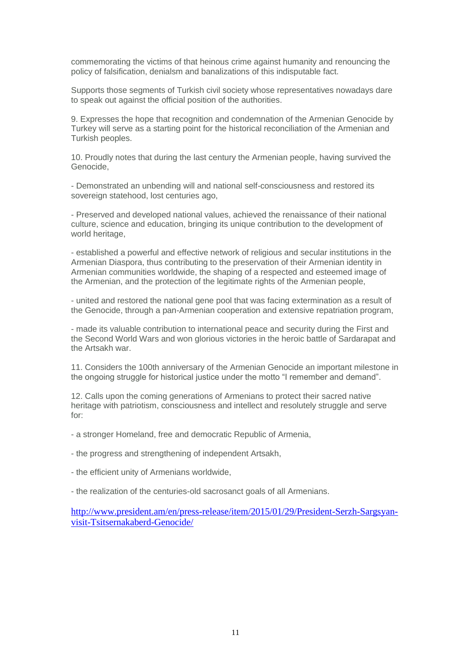commemorating the victims of that heinous crime against humanity and renouncing the policy of falsification, denialsm and banalizations of this indisputable fact.

Supports those segments of Turkish civil society whose representatives nowadays dare to speak out against the official position of the authorities.

9. Expresses the hope that recognition and condemnation of the Armenian Genocide by Turkey will serve as a starting point for the historical reconciliation of the Armenian and Turkish peoples.

10. Proudly notes that during the last century the Armenian people, having survived the Genocide,

- Demonstrated an unbending will and national self-consciousness and restored its sovereign statehood, lost centuries ago,

- Preserved and developed national values, achieved the renaissance of their national culture, science and education, bringing its unique contribution to the development of world heritage,

- established a powerful and effective network of religious and secular institutions in the Armenian Diaspora, thus contributing to the preservation of their Armenian identity in Armenian communities worldwide, the shaping of a respected and esteemed image of the Armenian, and the protection of the legitimate rights of the Armenian people,

- united and restored the national gene pool that was facing extermination as a result of the Genocide, through a pan-Armenian cooperation and extensive repatriation program,

- made its valuable contribution to international peace and security during the First and the Second World Wars and won glorious victories in the heroic battle of Sardarapat and the Artsakh war.

11. Considers the 100th anniversary of the Armenian Genocide an important milestone in the ongoing struggle for historical justice under the motto "I remember and demand".

12. Calls upon the coming generations of Armenians to protect their sacred native heritage with patriotism, consciousness and intellect and resolutely struggle and serve for:

- a stronger Homeland, free and democratic Republic of Armenia,
- the progress and strengthening of independent Artsakh,
- the efficient unity of Armenians worldwide,

- the realization of the centuries-old sacrosanct goals of all Armenians.

[http://www.president.am/en/press-release/item/2015/01/29/President-Serzh-Sargsyan](http://www.president.am/en/press-release/item/2015/01/29/President-Serzh-Sargsyan-visit-Tsitsernakaberd-Genocide/)[visit-Tsitsernakaberd-Genocide/](http://www.president.am/en/press-release/item/2015/01/29/President-Serzh-Sargsyan-visit-Tsitsernakaberd-Genocide/)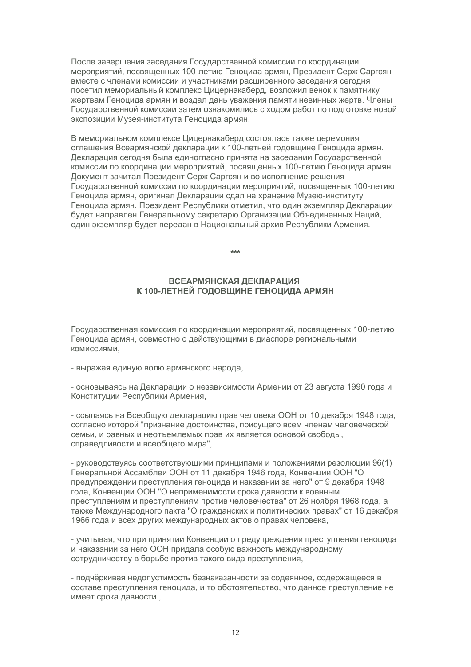После завершения заседания Государственной комиссии по координации мероприятий, посвященных 100-летию Геноцида армян, Президент Серж Саргсян вместе с членами комиссии и участниками расширенного заседания сегодня посетил мемориальный комплекс Цицернакаберд, возложил венок к памятнику жертвам Геноцида армян и воздал дань уважения памяти невинных жертв. Члены Государственной комиссии затем ознакомились с ходом работ по подготовке новой экспозиции Музея-института Геноцида армян.

В мемориальном комплексе Цицернакаберд состоялась также церемония оглашения Всеармянской декларации к 100-летней годовщине Геноцида армян. Декларация сегодня была единогласно принята на заседании Государственной комиссии по координации мероприятий, посвященных 100-летию Геноцида армян. Документ зачитал Президент Серж Саргсян и во исполнение решения Государственной комиссии по координации мероприятий, посвященных 100-летию Геноцида армян, оригинал Декларации сдал на хранение Музею-институту Геноцида армян. Президент Республики отметил, что один экземпляр Декларации будет направлен Генеральному секретарю Организации Объединенных Наций, один экземпляр будет передан в Национальный архив Республики Армения.

**\*\*\***

## **ВСЕАРМЯНСКАЯ ДЕКЛАРАЦИЯ К 100-ЛЕТНЕЙ ГОДОВЩИНЕ ГЕНОЦИДА АРМЯН**

Государственная комиссия по координации мероприятий, посвященных 100-летию Геноцида армян, совместно с действующими в диаспоре региональными комиссиями,

- выражая единую волю армянского народа,

- основываясь на Декларации о независимости Армении от 23 августа 1990 года и Конституции Республики Армения,

- ссылаясь на Всеобщую декларацию прав человека ООН от 10 декабря 1948 года, согласно которой "признание достоинства, присущего всем членам человеческой семьи, и равных и неотъемлемых прав их является основой свободы, справедливости и всеобщего мира",

- руководствуясь соответствующими принципами и положениями резолюции 96(1) Генеральной Ассамблеи ООН от 11 декабря 1946 года, Конвенции ООН "О предупреждении преступления геноцида и наказании за него" от 9 декабря 1948 года, Конвенции ООН "О неприменимости срока давности к военным преступлениям и преступлениям против человечества" от 26 ноября 1968 года, а также Международного пакта "О гражданских и политических правах" от 16 декабря 1966 года и всех других международных актов о правах человека,

- учитывая, что при принятии Конвенции о предупреждении преступления геноцида и наказании за него ООН придала особую важность международному сотрудничеству в борьбе против такого вида преступления,

- подчёркивая недопустимость безнаказанности за содеянное, содержащееся в составе преступления геноцида, и то обстоятельство, что данное преступление не имеет срока давности ,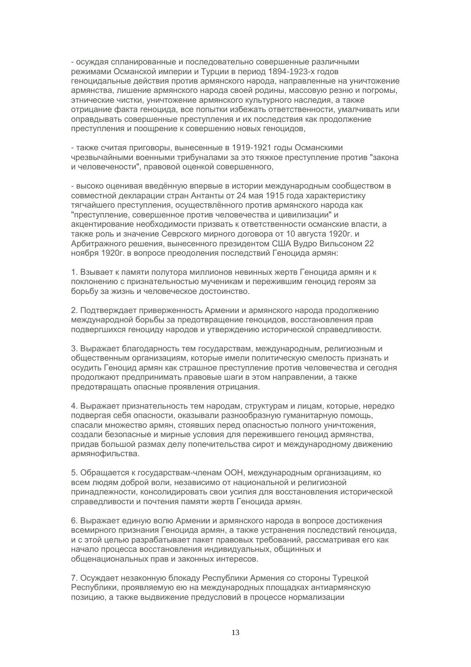- осуждая спланированные и последовательно совершенные различными режимами Османской империи и Турции в период 1894-1923-х годов геноцидальные действия против армянского народа, направленные на уничтожение армянства, лишение армянского народа своей родины, массовую резню и погромы, этнические чистки, уничтожение армянского культурного наследия, а также отрицание факта геноцида, все попытки избежать ответственности, умалчивать или оправдывать совершенные преступления и их последствия как продолжение преступления и поощрение к совершению новых геноцидов,

- также считая приговоры, вынесенные в 1919-1921 годы Османскими чрезвычайными военными трибуналами за это тяжкое преступление против "закона и человечености", правовой оценкой совершенного,

- высоко оценивая введённую впервые в истории международным сообществом в совместной декларации стран Антанты от 24 мая 1915 года характеристику тягчайшего преступления, осуществлённого против армянского народа как "преступление, совершенное против человечества и цивилизации" и акцентирование необходимости призвать к ответственности османские власти, а также роль и значение Севрского мирного договора от 10 августа 1920г. и Арбитражного решения, вынесенного президентом США Вудро Вильсоном 22 ноября 1920г. в вопросе преодоления последствий Геноцида армян:

1. Взывает к памяти полутора миллионов невинных жертв Геноцида армян и к поклонению с признательностью мученикам и пережившим геноцид героям за борьбу за жизнь и человеческое достоинство.

2. Подтверждает приверженность Армении и армянского народа продолжению международной борьбы за предотвращение геноцидов, восстановления прав подвергшихся геноциду народов и утверждению исторической справедливости.

3. Выражает благодарность тем государствам, международным, религиозным и общественным организациям, которые имели политическую смелость признать и осудить Геноцид армян как страшное преступление против человечества и сегодня продолжают предпринимать правовые шаги в этом направлении, а также предотвращать опасные проявления отрицания.

4. Выражает признательность тем народам, структурам и лицам, которые, нередко подвергая себя опасности, оказывали разнообразную гуманитарную помощь, спасали множество армян, стоявших перед опасностью полного уничтожения, создали безопасные и мирные условия для пережившего геноцид армянства, придав большой размах делу попечительства сирот и международному движению армянофильства.

5. Обращается к государствам-членам ООН, международным организациям, ко всем людям доброй воли, независимо от национальной и религиозной принадлежности, консолидировать свои усилия для восстановления исторической справедливости и почтения памяти жертв Геноцида армян.

6. Выражает единую волю Армении и армянского народа в вопросе достижения всемирного признания Геноцида армян, а также устранения последствий геноцида, и с этой целью разрабатывает пакет правовых требований, рассматривая его как начало процесса восстановления индивидуальных, общинных и общенациональных прав и законных интересов.

7. Осуждает незаконную блокаду Республики Армения со стороны Турецкой Республики, проявляемую ею на международных площадках антиармянскую позицию, а также выдвижение предусловий в процессе нормализации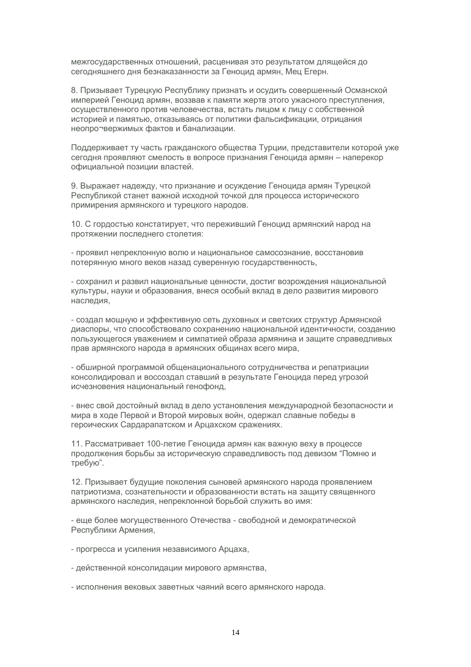межгосударственных отношений, расценивая это результатом длящейся до сегодняшнего дня безнаказанности за Геноцид армян, Мец Егерн.

8. Призывает Турецкую Республику признать и осудить совершенный Османской империей Геноцид армян, воззвав к памяти жертв этого ужасного преступления, осуществленного против человечества, встать лицом к лицу с собственной историей и памятью, отказываясь от политики фальсификации, отрицания неопро¬вержимых фактов и банализации.

Поддерживает ту часть гражданского общества Турции, представители которой уже сегодня проявляют смелость в вопросе признания Геноцида армян – наперекор официальной позиции властей.

9. Выражает надежду, что признание и осуждение Геноцида армян Турецкой Республикой станет важной исходной точкой для процесса исторического примирения армянского и турецкого народов.

10. С гордостью констатирует, что переживший Геноцид армянский народ на протяжении последнего столетия:

- проявил непреклонную волю и национальное самосознание, восстановив потерянную много веков назад суверенную государственность,

- сохранил и развил национальные ценности, достиг возрождения национальной культуры, науки и образования, внеся особый вклад в дело развития мирового наследия,

- создал мощную и эффективную сеть духовных и светских структур Армянской диаспоры, что способствовало сохранению национальной идентичности, созданию пользующегося уважением и симпатией образа армянина и защите справедливых прав армянского народа в армянских общинах всего мира,

- обширной программой общенационального сотрудничества и репатриации консолидировал и воссоздал ставший в результате Геноцида перед угрозой исчезновения национальный генофонд,

- внес свой достойный вклад в дело установления международной безопасности и мира в ходе Первой и Второй мировых войн, одержал славные победы в героических Сардарапатском и Арцахском сражениях.

11. Рассматривает 100-летие Геноцида армян как важную веху в процессе продолжения борьбы за историческую справедливость под девизом "Помню и требую".

12. Призывает будущие поколения сыновей армянского народа проявлением патриотизма, сознательности и образованности встать на защиту священного армянского наследия, непреклонной борьбой служить во имя:

- еще более могущественного Отечества - свободной и демократической Республики Армения,

- прогресса и усиления независимого Арцаха,
- действенной консолидации мирового армянства,
- исполнения вековых заветных чаяний всего армянского народа.